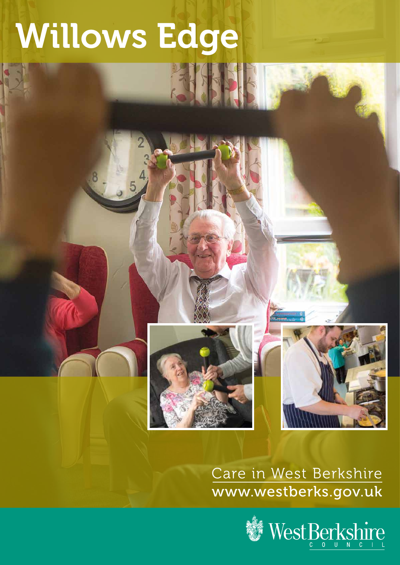# Willows Edge

大村

## Care in West Berkshire www.westberks.gov.uk

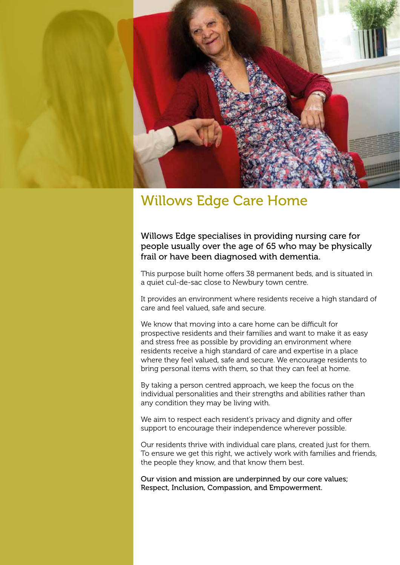

### Willows Edge Care Home

#### Willows Edge specialises in providing nursing care for people usually over the age of 65 who may be physically frail or have been diagnosed with dementia.

This purpose built home offers 38 permanent beds, and is situated in a quiet cul-de-sac close to Newbury town centre.

It provides an environment where residents receive a high standard of care and feel valued, safe and secure.

We know that moving into a care home can be difficult for prospective residents and their families and want to make it as easy and stress free as possible by providing an environment where residents receive a high standard of care and expertise in a place where they feel valued, safe and secure. We encourage residents to bring personal items with them, so that they can feel at home.

By taking a person centred approach, we keep the focus on the individual personalities and their strengths and abilities rather than any condition they may be living with.

We aim to respect each resident's privacy and dignity and offer support to encourage their independence wherever possible.

Our residents thrive with individual care plans, created just for them. To ensure we get this right, we actively work with families and friends, the people they know, and that know them best.

Our vision and mission are underpinned by our core values; Respect, Inclusion, Compassion, and Empowerment.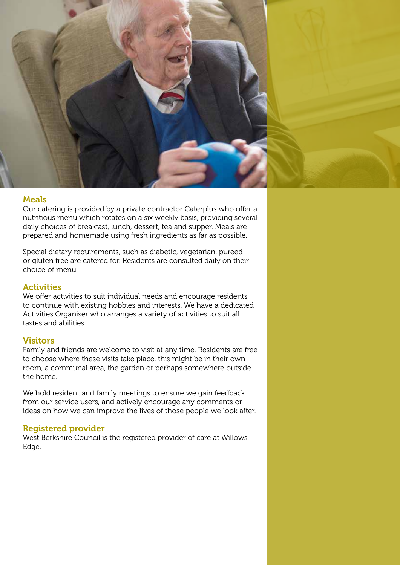

#### Meals

Our catering is provided by a private contractor Caterplus who offer a nutritious menu which rotates on a six weekly basis, providing several daily choices of breakfast, lunch, dessert, tea and supper. Meals are prepared and homemade using fresh ingredients as far as possible.

Special dietary requirements, such as diabetic, vegetarian, pureed or gluten free are catered for. Residents are consulted daily on their choice of menu.

#### **Activities**

We offer activities to suit individual needs and encourage residents to continue with existing hobbies and interests. We have a dedicated Activities Organiser who arranges a variety of activities to suit all tastes and abilities.

#### **Visitors**

Family and friends are welcome to visit at any time. Residents are free to choose where these visits take place, this might be in their own room, a communal area, the garden or perhaps somewhere outside the home.

We hold resident and family meetings to ensure we gain feedback from our service users, and actively encourage any comments or ideas on how we can improve the lives of those people we look after.

#### Registered provider

West Berkshire Council is the registered provider of care at Willows Edge.